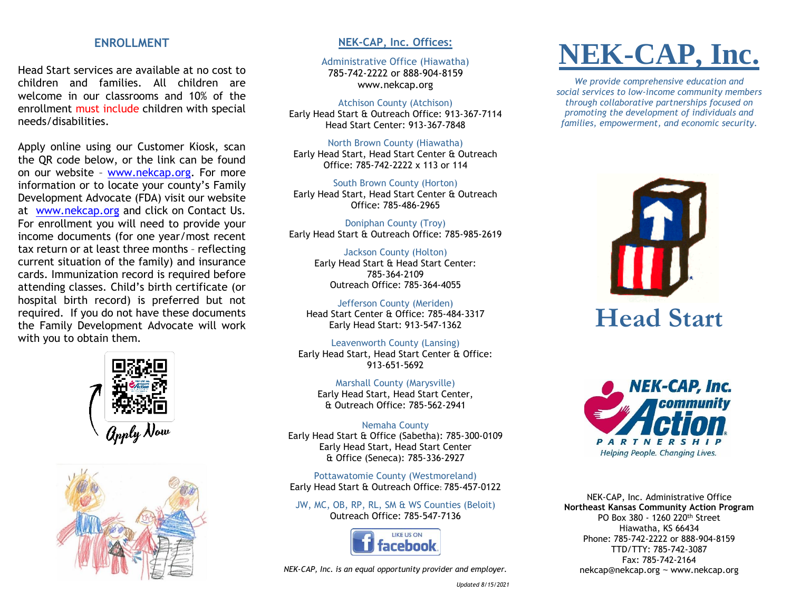## **ENROLLMENT**

Head Start services are available at no cost to children and families. All children are welcome in our classrooms and 10% of the enrollment must include children with special needs/disabilities.

Apply online using our Customer Kiosk, scan the QR code below, or the link can be found on our website – [www.nekcap.org.](http://www.nekcap.org/) For more information or to locate your county's Family Development Advocate (FDA) visit our website at [www.nekcap.org](http://www.nekcap.org/) and click on Contact Us. For enrollment you will need to provide your income documents (for one year/most recent tax return or at least three months – reflecting current situation of the family) and insurance cards. Immunization record is required before attending classes. Child's birth certificate (or hospital birth record) is preferred but not required. If you do not have these documents the Family Development Advocate will work with you to obtain them.





## **NEK-CAP, Inc. Offices:**

Administrative Office (Hiawatha) 785-742-2222 or 888-904-8159 www.nekcap.org

#### Atchison County (Atchison)

Early Head Start & Outreach Office: 913-367-7114 Head Start Center: 913-367-7848

North Brown County (Hiawatha) Early Head Start, Head Start Center & Outreach Office: 785-742-2222 x 113 or 114

South Brown County (Horton) Early Head Start, Head Start Center & Outreach Office: 785-486-2965

Doniphan County (Troy) Early Head Start & Outreach Office: 785-985-2619

Jackson County (Holton) Early Head Start & Head Start Center: 785-364-2109 Outreach Office: 785-364-4055

Jefferson County (Meriden) Head Start Center & Office: 785-484-3317 Early Head Start: 913-547-1362

Leavenworth County (Lansing) Early Head Start, Head Start Center & Office: 913-651-5692

Marshall County (Marysville) Early Head Start, Head Start Center, & Outreach Office: 785-562-2941

Nemaha County Early Head Start & Office (Sabetha): 785-300-0109 Early Head Start, Head Start Center & Office (Seneca): 785-336-2927

Pottawatomie County (Westmoreland) Early Head Start & Outreach Office: 785-457-0122

JW, MC, OB, RP, RL, SM & WS Counties (Beloit) Outreach Office: 785-547-7136



*NEK-CAP, Inc. is an equal opportunity provider and employer.*

# **NEK-CAP, Inc.**

*We provide comprehensive education and social services to low-income community members through collaborative partnerships focused on promoting the development of individuals and families, empowerment, and economic security.*





NEK-CAP, Inc. Administrative Office **Northeast Kansas Community Action Program** PO Box 380 - 1260 220th Street Hiawatha, KS 66434 Phone: 785-742-2222 or 888-904-8159 TTD/TTY: 785-742-3087 Fax: 785-742-2164 nekcap@nekcap.org ~ www.nekcap.org

*Updated 8/15/2021*